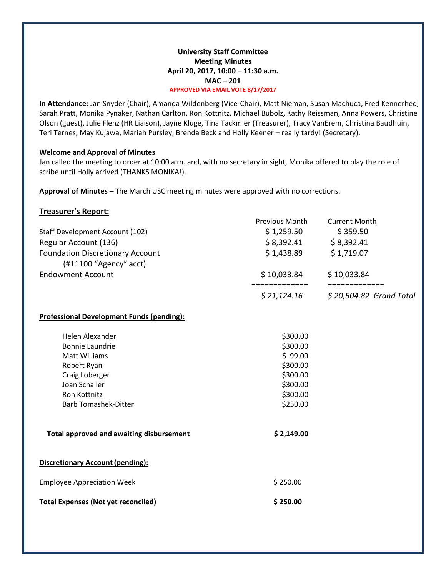# **University Staff Committee Meeting Minutes April 20, 2017, 10:00 – 11:30 a.m. MAC – 201 APPROVED VIA EMAIL VOTE 8/17/2017**

**In Attendance:** Jan Snyder (Chair), Amanda Wildenberg (Vice-Chair), Matt Nieman, Susan Machuca, Fred Kennerhed, Sarah Pratt, Monika Pynaker, Nathan Carlton, Ron Kottnitz, Michael Bubolz, Kathy Reissman, Anna Powers, Christine Olson (guest), Julie Flenz (HR Liaison), Jayne Kluge, Tina Tackmier (Treasurer), Tracy VanErem, Christina Baudhuin, Teri Ternes, May Kujawa, Mariah Pursley, Brenda Beck and Holly Keener – really tardy! (Secretary).

# **Welcome and Approval of Minutes**

Jan called the meeting to order at 10:00 a.m. and, with no secretary in sight, Monika offered to play the role of scribe until Holly arrived (THANKS MONIKA!).

**Approval of Minutes** – The March USC meeting minutes were approved with no corrections.

# **Treasurer's Report:**

|                                         | <b>Previous Month</b> | <b>Current Month</b>     |
|-----------------------------------------|-----------------------|--------------------------|
| Staff Development Account (102)         | \$1,259.50            | \$359.50                 |
| Regular Account (136)                   | \$8,392.41            | \$8,392.41               |
| <b>Foundation Discretionary Account</b> | \$1,438.89            | \$1,719.07               |
| $(H11100$ "Agency" acct)                |                       |                          |
| <b>Endowment Account</b>                | \$10,033.84           | \$10,033.84              |
|                                         |                       |                          |
|                                         | \$21,124.16           | $$20,504.82$ Grand Total |

# **Professional Development Funds (pending):**

| Helen Alexander                                 | \$300.00   |
|-------------------------------------------------|------------|
| Bonnie Laundrie                                 | \$300.00   |
| Matt Williams                                   | \$99.00    |
| Robert Ryan                                     | \$300.00   |
| Craig Loberger                                  | \$300.00   |
| Joan Schaller                                   | \$300.00   |
| Ron Kottnitz                                    | \$300.00   |
| <b>Barb Tomashek-Ditter</b>                     | \$250.00   |
| <b>Total approved and awaiting disbursement</b> | \$2,149.00 |
| <b>Discretionary Account (pending):</b>         |            |
| <b>Employee Appreciation Week</b>               | \$250.00   |

| <b>Total Expenses (Not yet reconciled)</b> | \$250.00 |
|--------------------------------------------|----------|
|--------------------------------------------|----------|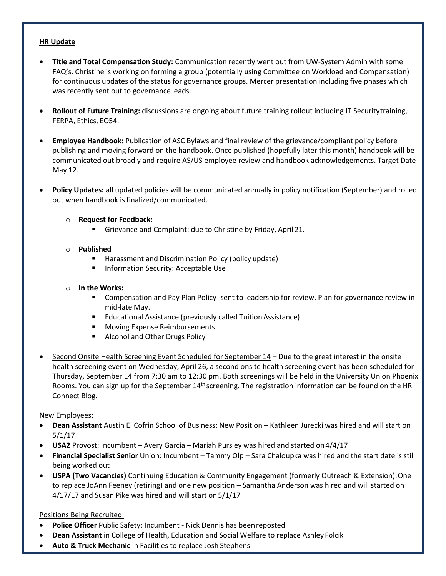# **HR Update**

- **Title and Total Compensation Study:** Communication recently went out from UW-System Admin with some FAQ's. Christine is working on forming a group (potentially using Committee on Workload and Compensation) for continuous updates of the status for governance groups. Mercer presentation including five phases which was recently sent out to governance leads.
- **Rollout of Future Training:** discussions are ongoing about future training rollout including IT Securitytraining, FERPA, Ethics, EO54.
- **Employee Handbook:** Publication of ASC Bylaws and final review of the grievance/compliant policy before publishing and moving forward on the handbook. Once published (hopefully later this month) handbook will be communicated out broadly and require AS/US employee review and handbook acknowledgements. Target Date May 12.
- **Policy Updates:** all updated policies will be communicated annually in policy notification (September) and rolled out when handbook is finalized/communicated.
	- o **Request for Feedback:**
		- Grievance and Complaint: due to Christine by Friday, April 21.
	- o **Published**
		- Harassment and Discrimination Policy (policy update)
		- **Information Security: Acceptable Use**
	- o **In the Works:**
		- Compensation and Pay Plan Policy- sent to leadership for review. Plan for governance review in mid-late May.
		- **Educational Assistance (previously called Tuition Assistance)**
		- **Moving Expense Reimbursements**
		- **Alcohol and Other Drugs Policy**
- [Second Onsite Health Screening Event Scheduled for September 14](https://blog.uwgb.edu/hr/2017/04/second-onsite-health-screening-event-scheduled-for-september-14th/) Due to the great interest in the onsite health screening event on Wednesday, April 26, a second onsite health screening event has been scheduled for Thursday, September 14 from 7:30 am to 12:30 pm. Both screenings will be held in the University Union Phoenix Rooms. You can sign up for the September  $14<sup>th</sup>$  screening. The registration information can be found on the HR Connect Blog.

# New Employees:

- **Dean Assistant** Austin E. Cofrin School of Business: New Position Kathleen Jurecki was hired and will start on 5/1/17
- **USA2** Provost: Incumbent Avery Garcia Mariah Pursley was hired and started on4/4/17
- **Financial Specialist Senior** Union: Incumbent Tammy Olp Sara Chaloupka was hired and the start date is still being worked out
- **USPA (Two Vacancies)** Continuing Education & Community Engagement (formerly Outreach & Extension):One to replace JoAnn Feeney (retiring) and one new position – Samantha Anderson was hired and will started on 4/17/17 and Susan Pike was hired and will start on5/1/17

Positions Being Recruited:

- **Police Officer** Public Safety: Incumbent Nick Dennis has beenreposted
- **Dean Assistant** in College of Health, Education and Social Welfare to replace Ashley Folcik
- **Auto & Truck Mechanic** in Facilities to replace Josh Stephens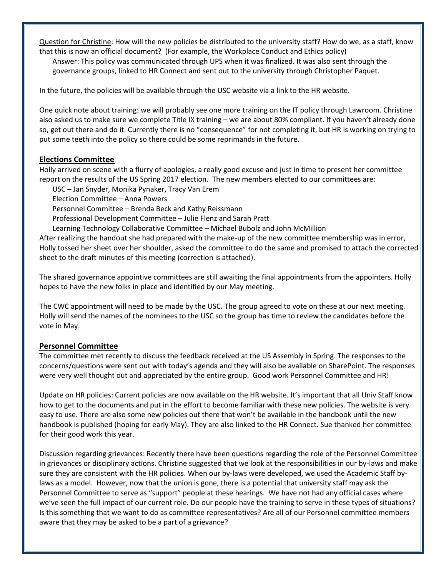Question for Christine: How will the new policies be distributed to the university staff? How do we, as a staff, know that this is now an official document? (For example, the Workplace Conduct and Ethics policy)

Answer: This policy was communicated through UPS when it was finalized. It was also sent through the governance groups, linked to HR Connect and sent out to the university through Christopher Paquet.

In the future, the policies will be available through the USC website via a link to the HR website.

One quick note about training: we will probably see one more training on the IT policy through Lawroom. Christine also asked us to make sure we complete Title IX training – we are about 80% compliant. If you haven't already done so, get out there and do it. Currently there is no "consequence" for not completing it, but HR is working on trying to put some teeth into the policy so there could be some reprimands in the future.

# **Elections Committee**

Holly arrived on scene with a flurry of apologies, a really good excuse and just in time to present her committee report on the results of the US Spring 2017 election. The new members elected to our committees are:

USC – Jan Snyder, Monika Pynaker, Tracy Van Erem

Election Committee – Anna Powers

Personnel Committee – Brenda Beck and Kathy Reissmann

Professional Development Committee – Julie Flenz and Sarah Pratt

Learning Technology Collaborative Committee – Michael Bubolz and John McMillion

After realizing the handout she had prepared with the make-up of the new committee membership was in error, Holly tossed her sheet over her shoulder, asked the committee to do the same and promised to attach the corrected sheet to the draft minutes of this meeting (correction is attached).

The shared governance appointive committees are still awaiting the final appointments from the appointers. Holly hopes to have the new folks in place and identified by our May meeting.

The CWC appointment will need to be made by the USC. The group agreed to vote on these at our next meeting. Holly will send the names of the nominees to the USC so the group has time to review the candidates before the vote in May.

#### **Personnel Committee**

The committee met recently to discuss the feedback received at the US Assembly in Spring. The responses to the concerns/questions were sent out with today's agenda and they will also be available on SharePoint. The responses were very well thought out and appreciated by the entire group. Good work Personnel Committee and HR!

Update on HR policies: Current policies are now available on the HR website. It's important that all Univ Staff know how to get to the documents and put in the effort to become familiar with these new policies. The website is very easy to use. There are also some new policies out there that won't be available in the handbook until the new handbook is published (hoping for early May). They are also linked to the HR Connect. Sue thanked her committee for their good work this year.

Discussion regarding grievances: Recently there have been questions regarding the role of the Personnel Committee in grievances or disciplinary actions. Christine suggested that we look at the responsibilities in our by-laws and make sure they are consistent with the HR policies. When our by-laws were developed, we used the Academic Staff bylaws as a model. However, now that the union is gone, there is a potential that university staff may ask the Personnel Committee to serve as "support" people at these hearings. We have not had any official cases where we've seen the full impact of our current role. Do our people have the training to serve in these types of situations? Is this something that we want to do as committee representatives? Are all of our Personnel committee members aware that they may be asked to be a part of a grievance?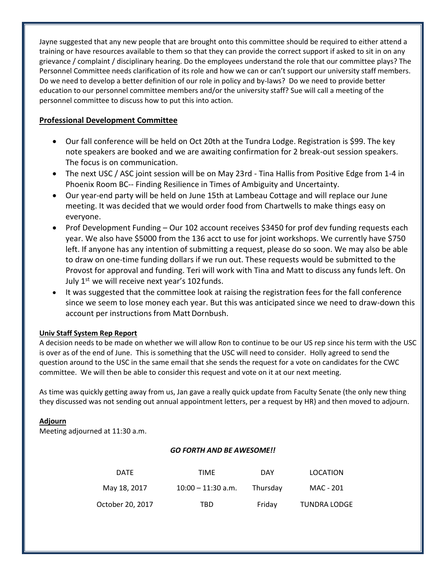Jayne suggested that any new people that are brought onto this committee should be required to either attend a training or have resources available to them so that they can provide the correct support if asked to sit in on any grievance / complaint / disciplinary hearing. Do the employees understand the role that our committee plays? The Personnel Committee needs clarification of its role and how we can or can't support our university staff members. Do we need to develop a better definition of our role in policy and by-laws? Do we need to provide better education to our personnel committee members and/or the university staff? Sue will call a meeting of the personnel committee to discuss how to put this into action.

# **Professional Development Committee**

- Our fall conference will be held on Oct 20th at the Tundra Lodge. Registration is \$99. The key note speakers are booked and we are awaiting confirmation for 2 break-out session speakers. The focus is on communication.
- The next USC / ASC joint session will be on May 23rd Tina Hallis from Positive Edge from 1-4 in Phoenix Room BC-- Finding Resilience in Times of Ambiguity and Uncertainty.
- Our year-end party will be held on June 15th at Lambeau Cottage and will replace our June meeting. It was decided that we would order food from Chartwells to make things easy on everyone.
- Prof Development Funding Our 102 account receives \$3450 for prof dev funding requests each year. We also have \$5000 from the 136 acct to use for joint workshops. We currently have \$750 left. If anyone has any intention of submitting a request, please do so soon. We may also be able to draw on one-time funding dollars if we run out. These requests would be submitted to the Provost for approval and funding. Teri will work with Tina and Matt to discuss any funds left. On July  $1^{st}$  we will receive next year's 102 funds.
- It was suggested that the committee look at raising the registration fees for the fall conference since we seem to lose money each year. But this was anticipated since we need to draw-down this account per instructions from Matt Dornbush.

# **Univ Staff System Rep Report**

A decision needs to be made on whether we will allow Ron to continue to be our US rep since his term with the USC is over as of the end of June. This is something that the USC will need to consider. Holly agreed to send the question around to the USC in the same email that she sends the request for a vote on candidates for the CWC committee. We will then be able to consider this request and vote on it at our next meeting.

As time was quickly getting away from us, Jan gave a really quick update from Faculty Senate (the only new thing they discussed was not sending out annual appointment letters, per a request by HR) and then moved to adjourn.

# **Adjourn**

Meeting adjourned at 11:30 a.m.

# *GO FORTH AND BE AWESOME!!*

| <b>DATE</b>      | TIME                 | DAY      | LOCATION            |
|------------------|----------------------|----------|---------------------|
| May 18, 2017     | $10:00 - 11:30$ a.m. | Thursday | MAC - 201           |
| October 20, 2017 | TBD                  | Friday   | <b>TUNDRA LODGE</b> |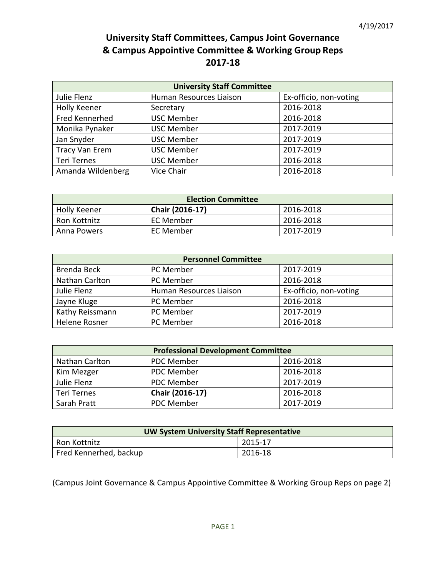# **University Staff Committees, Campus Joint Governance & Campus Appointive Committee & Working Group Reps 2017-18**

| <b>University Staff Committee</b> |                         |                        |  |
|-----------------------------------|-------------------------|------------------------|--|
| Julie Flenz                       | Human Resources Liaison | Ex-officio, non-voting |  |
| Holly Keener                      | Secretary               | 2016-2018              |  |
| Fred Kennerhed                    | <b>USC Member</b>       | 2016-2018              |  |
| Monika Pynaker                    | <b>USC Member</b>       | 2017-2019              |  |
| Jan Snyder                        | <b>USC Member</b>       | 2017-2019              |  |
| <b>Tracy Van Erem</b>             | <b>USC Member</b>       | 2017-2019              |  |
| <b>Teri Ternes</b>                | <b>USC Member</b>       | 2016-2018              |  |
| Amanda Wildenberg                 | Vice Chair              | 2016-2018              |  |

| <b>Election Committee</b> |                 |           |
|---------------------------|-----------------|-----------|
| <b>Holly Keener</b>       | Chair (2016-17) | 2016-2018 |
| Ron Kottnitz              | EC Member       | 2016-2018 |
| Anna Powers               | EC Member       | 2017-2019 |

| <b>Personnel Committee</b> |                         |                        |  |
|----------------------------|-------------------------|------------------------|--|
| Brenda Beck                | PC Member               | 2017-2019              |  |
| Nathan Carlton             | PC Member               | 2016-2018              |  |
| Julie Flenz                | Human Resources Liaison | Ex-officio, non-voting |  |
| Jayne Kluge                | PC Member               | 2016-2018              |  |
| Kathy Reissmann            | PC Member               | 2017-2019              |  |
| Helene Rosner              | PC Member               | 2016-2018              |  |

| <b>Professional Development Committee</b> |                   |           |
|-------------------------------------------|-------------------|-----------|
| Nathan Carlton                            | <b>PDC Member</b> | 2016-2018 |
| Kim Mezger                                | PDC Member        | 2016-2018 |
| Julie Flenz                               | PDC Member        | 2017-2019 |
| Teri Ternes                               | Chair (2016-17)   | 2016-2018 |
| Sarah Pratt                               | PDC Member        | 2017-2019 |

| <b>UW System University Staff Representative</b> |         |  |
|--------------------------------------------------|---------|--|
| Ron Kottnitz                                     | 2015-17 |  |
| Fred Kennerhed, backup                           | 2016-18 |  |

(Campus Joint Governance & Campus Appointive Committee & Working Group Reps on page 2)